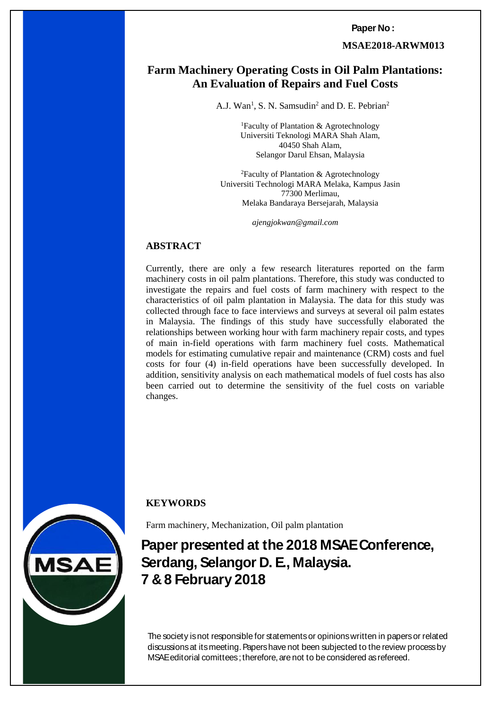**Paper No :** 

**MSAE2018-ARWM013**

# **Farm Machinery Operating Costs in Oil Palm Plantations: of Repairs and Fuel Costs An Evaluation of Repairs and Fuel Costs**

A.J. Wan<sup>1</sup>, S. N. Samsudin<sup>2</sup> and D. E. Pebrian<sup>2</sup>

<sup>1</sup>Faculty of Plantation & Agrotechnology Universiti Teknologi MARA Shah Alam, 40450 Shah Alam, Selangor Darul Ehsan, Malaysia

<sup>2</sup>Faculty of Plantation & Agrotechnology Universiti Technologi MARA Melaka, Kampus Jasin 77300 Merlimau, Melaka Bandaraya Bersejarah, Malaysia

*[ajengjokwan@gmail.com](mailto:ajengjokwan@gmail.com)*

## **ABSTRACT**

Currently, there are only a few research literatures reported on the farm machinery costs in oil palm plantations. Therefore, this study was conducted to investigate the repairs and fuel costs of farm machinery with respect to the characteristics of oil palm plantation in Malaysia. The data for this study was collected through face to face interviews and surveys at several oil palm estates in Malaysia. The findings of this study have successfully elaborated the relationships between working hour with farm machinery repair costs, and types of main in-field operations with farm machinery fuel costs. Mathematical models for estimating cumulative repair and maintenance (CRM) costs and fuel costs for four (4) in-field operations have been successfully developed. In addition, sensitivity analysis on each mathematical models of fuel costs has also been carried out to determine the sensitivity of the fuel costs on variable changes.



*7 & 8 February 2018 ISBN 978-967-16145*

# **KEYWORDS**

Farm machinery, Mechanization, Oil palm plantation

**Paper presented at the 2018 MSAE Conference, Serdang, Selangor D. E., Malaysia. 7 & 8 February 2018**

*MSAE Conference, Serdang, Selangor D.E.* MSAE editorial comittees ; therefore, are not to be considered as refereed. The society is not responsible for statements or opinions written in papers or related discussions at its meeting. Papers have not been subjected to the review process by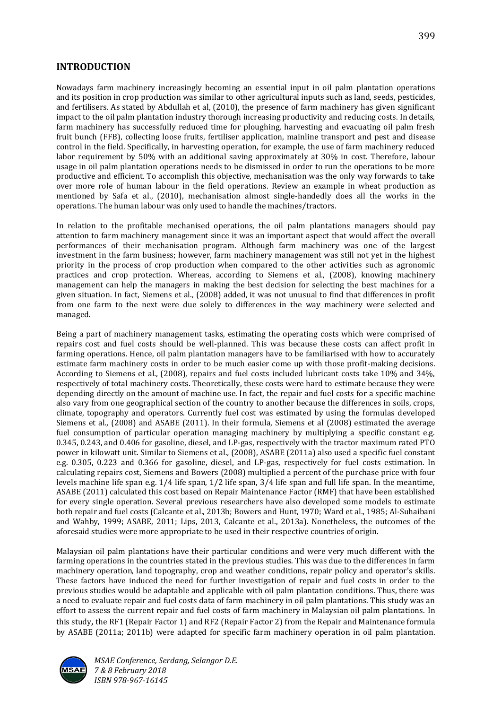## **INTRODUCTION**

Nowadays farm machinery increasingly becoming an essential input in oil palm plantation operations and its position in crop production was similar to other agricultural inputs such as land, seeds, pesticides, and fertilisers. As stated by Abdullah et al, (2010), the presence of farm machinery has given significant impact to the oil palm plantation industry thorough increasing productivity and reducing costs. In details, farm machinery has successfully reduced time for ploughing, harvesting and evacuating oil palm fresh fruit bunch (FFB), collecting loose fruits, fertiliser application, mainline transport and pest and disease control in the field. Specifically, in harvesting operation, for example, the use of farm machinery reduced labor requirement by 50% with an additional saving approximately at 30% in cost. Therefore, labour usage in oil palm plantation operations needs to be dismissed in order to run the operations to be more productive and efficient. To accomplish this objective, mechanisation was the only way forwards to take over more role of human labour in the field operations. Review an example in wheat production as mentioned by Safa et al., (2010), mechanisation almost single-handedly does all the works in the operations. The human labour was only used to handle the machines/tractors.

In relation to the profitable mechanised operations, the oil palm plantations managers should pay attention to farm machinery management since it was an important aspect that would affect the overall performances of their mechanisation program. Although farm machinery was one of the largest investment in the farm business; however, farm machinery management was still not yet in the highest priority in the process of crop production when compared to the other activities such as agronomic practices and crop protection. Whereas, according to Siemens et al*.,* (2008), knowing machinery management can help the managers in making the best decision for selecting the best machines for a given situation. In fact, Siemens et al., (2008) added, it was not unusual to find that differences in profit from one farm to the next were due solely to differences in the way machinery were selected and managed.

Being a part of machinery management tasks, estimating the operating costs which were comprised of repairs cost and fuel costs should be well-planned. This was because these costs can affect profit in farming operations. Hence, oil palm plantation managers have to be familiarised with how to accurately estimate farm machinery costs in order to be much easier come up with those profit-making decisions. According to Siemens et al*.,* (2008), repairs and fuel costs included lubricant costs take 10% and 34%, respectively of total machinery costs. Theoretically, these costs were hard to estimate because they were depending directly on the amount of machine use. In fact, the repair and fuel costs for a specific machine also vary from one geographical section of the country to another because the differences in soils, crops, climate, topography and operators. Currently fuel cost was estimated by using the formulas developed Siemens et al*.,* (2008) and ASABE (2011). In their formula, Siemens et al (2008) estimated the average fuel consumption of particular operation managing machinery by multiplying a specific constant e.g. 0.345, 0.243, and 0.406 for gasoline, diesel, and LP-gas, respectively with the tractor maximum rated PTO power in kilowatt unit. Similar to Siemens et al*.,* (2008), ASABE (2011a) also used a specific fuel constant e.g. 0.305, 0.223 and 0.366 for gasoline, diesel, and LP-gas, respectively for fuel costs estimation. In calculating repairs cost, Siemens and Bowers (2008) multiplied a percent of the purchase price with four levels machine life span e.g. 1/4 life span, 1/2 life span, 3/4 life span and full life span. In the meantime, ASABE (2011) calculated this cost based on Repair Maintenance Factor (RMF) that have been established for every single operation. Several previous researchers have also developed some models to estimate both repair and fuel costs (Calcante et al., 2013b; Bowers and Hunt, 1970; Ward et al., 1985; Al-Suhaibani and Wahby, 1999; ASABE, 2011; Lips, 2013, Calcante et al*.*, 2013a). Nonetheless, the outcomes of the aforesaid studies were more appropriate to be used in their respective countries of origin.

Malaysian oil palm plantations have their particular conditions and were very much different with the farming operations in the countries stated in the previous studies. This was due to the differences in farm machinery operation, land topography, crop and weather conditions, repair policy and operator's skills. These factors have induced the need for further investigation of repair and fuel costs in order to the previous studies would be adaptable and applicable with oil palm plantation conditions. Thus, there was a need to evaluate repair and fuel costs data of farm machinery in oil palm plantations. This study was an effort to assess the current repair and fuel costs of farm machinery in Malaysian oil palm plantations. In this study, the RF1 (Repair Factor 1) and RF2 (Repair Factor 2) from the Repair and Maintenance formula by ASABE (2011a; 2011b) were adapted for specific farm machinery operation in oil palm plantation.

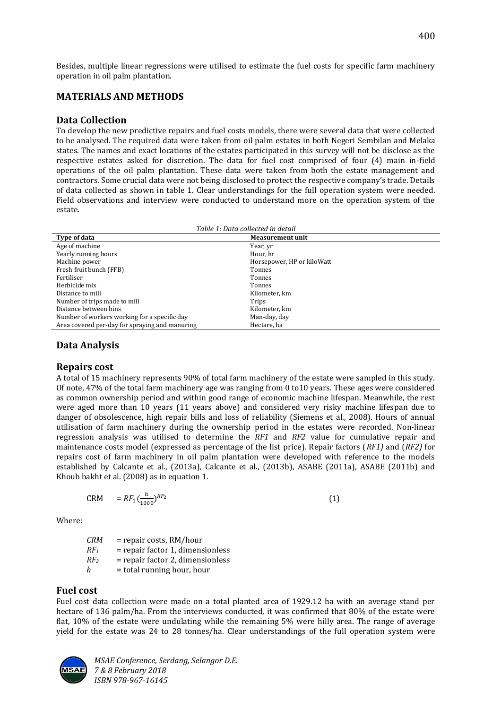Besides, multiple linear regressions were utilised to estimate the fuel costs for specific farm machinery operation in oil palm plantation.

## **MATERIALS AND METHODS**

#### **Data Collection**

To develop the new predictive repairs and fuel costs models, there were several data that were collected to be analysed. The required data were taken from oil palm estates in both Negeri Sembilan and Melaka states. The names and exact locations of the estates participated in this survey will not be disclose as the respective estates asked for discretion. The data for fuel cost comprised of four (4) main in-field operations of the oil palm plantation. These data were taken from both the estate management and contractors. Some crucial data were not being disclosed to protect the respective company's trade. Details of data collected as shown in table 1. Clear understandings for the full operation system were needed. Field observations and interview were conducted to understand more on the operation system of the estate.

| Horsepower, HP or kiloWatt |
|----------------------------|
|                            |
|                            |
|                            |
|                            |
|                            |
|                            |
|                            |
|                            |
|                            |

## **Data Analysis**

#### **Repairs cost**

A total of 15 machinery represents 90% of total farm machinery of the estate were sampled in this study. Of note, 47% of the total farm machinery age was ranging from 0 to10 years. These ages were considered as common ownership period and within good range of economic machine lifespan. Meanwhile, the rest were aged more than 10 years (11 years above) and considered very risky machine lifespan due to danger of obsolescence, high repair bills and loss of reliability (Siemens et al., 2008). Hours of annual utilisation of farm machinery during the ownership period in the estates were recorded. Non-linear regression analysis was utilised to determine the *RF1* and *RF2* value for cumulative repair and maintenance costs model (expressed as percentage of the list price). Repair factors (*RF1)* and (*RF2)* for repairs cost of farm machinery in oil palm plantation were developed with reference to the models established by Calcante et al., (2013a), Calcante et al., (2013b), ASABE (2011a), ASABE (2011b) and Khoub bakht et al. (2008) as in equation 1.

$$
CRM = RF_1 \left(\frac{h}{1000}\right)^{RF_2} \tag{1}
$$

Where:

*CRM* = repair costs, RM/hour  $RF<sub>1</sub>$  = repair factor 1, dimensionless *RF<sup>2</sup>* = repair factor 2, dimensionless  $h$  = total running hour, hour

#### **Fuel cost**

Fuel cost data collection were made on a total planted area of 1929.12 ha with an average stand per hectare of 136 palm/ha. From the interviews conducted, it was confirmed that 80% of the estate were flat, 10% of the estate were undulating while the remaining 5% were hilly area. The range of average yield for the estate was 24 to 28 tonnes/ha. Clear understandings of the full operation system were

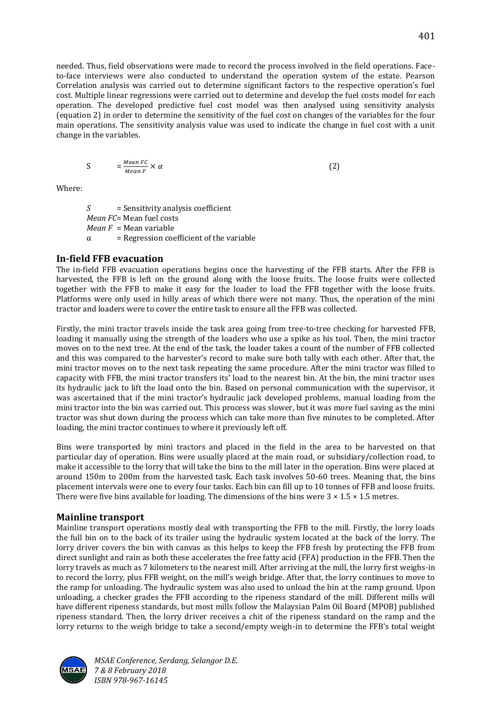needed. Thus, field observations were made to record the process involved in the field operations. Faceto-face interviews were also conducted to understand the operation system of the estate. Pearson Correlation analysis was carried out to determine significant factors to the respective operation's fuel cost. Multiple linear regressions were carried out to determine and develop the fuel costs model for each operation. The developed predictive fuel cost model was then analysed using sensitivity analysis (equation 2) in order to determine the sensitivity of the fuel cost on changes of the variables for the four main operations. The sensitivity analysis value was used to indicate the change in fuel cost with a unit change in the variables.

$$
S = \frac{Mean\ FC}{Mean\ F} \times \alpha \tag{2}
$$

Where:

*S* = Sensitivity analysis coefficient *Mean FC*= Mean fuel costs *Mean F* = Mean variable  $\alpha$  = Regression coefficient of the variable

## **In-field FFB evacuation**

The in-field FFB evacuation operations begins once the harvesting of the FFB starts. After the FFB is harvested, the FFB is left on the ground along with the loose fruits. The loose fruits were collected together with the FFB to make it easy for the loader to load the FFB together with the loose fruits. Platforms were only used in hilly areas of which there were not many. Thus, the operation of the mini tractor and loaders were to cover the entire task to ensure all the FFB was collected.

Firstly, the mini tractor travels inside the task area going from tree-to-tree checking for harvested FFB, loading it manually using the strength of the loaders who use a spike as his tool. Then, the mini tractor moves on to the next tree. At the end of the task, the loader takes a count of the number of FFB collected and this was compared to the harvester's record to make sure both tally with each other. After that, the mini tractor moves on to the next task repeating the same procedure. After the mini tractor was filled to capacity with FFB, the mini tractor transfers its' load to the nearest bin. At the bin, the mini tractor uses its hydraulic jack to lift the load onto the bin. Based on personal communication with the supervisor, it was ascertained that if the mini tractor's hydraulic jack developed problems, manual loading from the mini tractor into the bin was carried out. This process was slower, but it was more fuel saving as the mini tractor was shut down during the process which can take more than five minutes to be completed. After loading, the mini tractor continues to where it previously left off.

Bins were transported by mini tractors and placed in the field in the area to be harvested on that particular day of operation. Bins were usually placed at the main road, or subsidiary/collection road, to make it accessible to the lorry that will take the bins to the mill later in the operation. Bins were placed at around 150m to 200m from the harvested task. Each task involves 50-60 trees. Meaning that, the bins placement intervals were one to every four tasks. Each bin can fill up to 10 tonnes of FFB and loose fruits. There were five bins available for loading. The dimensions of the bins were  $3 \times 1.5 \times 1.5$  metres.

## **Mainline transport**

Mainline transport operations mostly deal with transporting the FFB to the mill. Firstly, the lorry loads the full bin on to the back of its trailer using the hydraulic system located at the back of the lorry. The lorry driver covers the bin with canvas as this helps to keep the FFB fresh by protecting the FFB from direct sunlight and rain as both these accelerates the free fatty acid (FFA) production in the FFB. Then the lorry travels as much as 7 kilometers to the nearest mill. After arriving at the mill, the lorry first weighs-in to record the lorry, plus FFB weight, on the mill's weigh bridge. After that, the lorry continues to move to the ramp for unloading. The hydraulic system was also used to unload the bin at the ramp ground. Upon unloading, a checker grades the FFB according to the ripeness standard of the mill. Different mills will have different ripeness standards, but most mills follow the Malaysian Palm Oil Board (MPOB) published ripeness standard. Then, the lorry driver receives a chit of the ripeness standard on the ramp and the lorry returns to the weigh bridge to take a second/empty weigh-in to determine the FFB's total weight

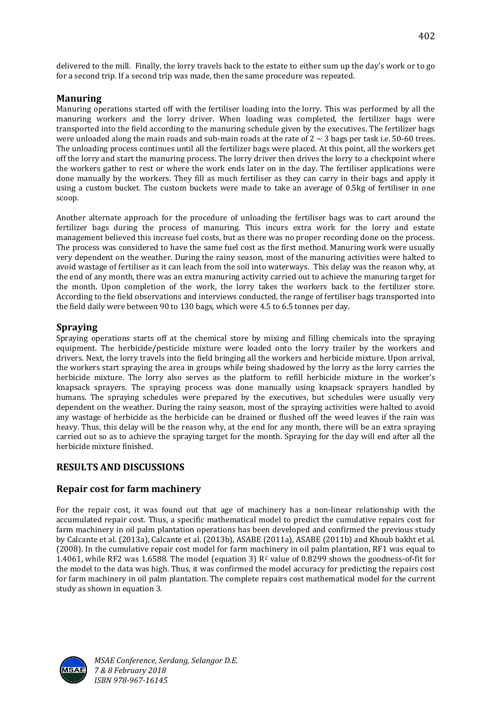delivered to the mill. Finally, the lorry travels back to the estate to either sum up the day's work or to go for a second trip. If a second trip was made, then the same procedure was repeated.

## **Manuring**

Manuring operations started off with the fertiliser loading into the lorry. This was performed by all the manuring workers and the lorry driver. When loading was completed, the fertilizer bags were transported into the field according to the manuring schedule given by the executives. The fertilizer bags were unloaded along the main roads and sub-main roads at the rate of  $2 \sim 3$  bags per task i.e. 50-60 trees. The unloading process continues until all the fertilizer bags were placed. At this point, all the workers get off the lorry and start the manuring process. The lorry driver then drives the lorry to a checkpoint where the workers gather to rest or where the work ends later on in the day. The fertiliser applications were done manually by the workers. They fill as much fertiliser as they can carry in their bags and apply it using a custom bucket. The custom buckets were made to take an average of 0.5kg of fertiliser in one scoop.

Another alternate approach for the procedure of unloading the fertiliser bags was to cart around the fertilizer bags during the process of manuring. This incurs extra work for the lorry and estate management believed this increase fuel costs, but as there was no proper recording done on the process. The process was considered to have the same fuel cost as the first method. Manuring work were usually very dependent on the weather. During the rainy season, most of the manuring activities were halted to avoid wastage of fertiliser as it can leach from the soil into waterways. This delay was the reason why, at the end of any month, there was an extra manuring activity carried out to achieve the manuring target for the month. Upon completion of the work, the lorry takes the workers back to the fertilizer store. According to the field observations and interviews conducted, the range of fertiliser bags transported into the field daily were between 90 to 130 bags, which were 4.5 to 6.5 tonnes per day.

## **Spraying**

Spraying operations starts off at the chemical store by mixing and filling chemicals into the spraying equipment. The herbicide/pesticide mixture were loaded onto the lorry trailer by the workers and drivers. Next, the lorry travels into the field bringing all the workers and herbicide mixture. Upon arrival, the workers start spraying the area in groups while being shadowed by the lorry as the lorry carries the herbicide mixture. The lorry also serves as the platform to refill herbicide mixture in the worker's knapsack sprayers. The spraying process was done manually using knapsack sprayers handled by humans. The spraying schedules were prepared by the executives, but schedules were usually very dependent on the weather. During the rainy season, most of the spraying activities were halted to avoid any wastage of herbicide as the herbicide can be drained or flushed off the weed leaves if the rain was heavy. Thus, this delay will be the reason why, at the end for any month, there will be an extra spraying carried out so as to achieve the spraying target for the month. Spraying for the day will end after all the herbicide mixture finished.

# **RESULTS AND DISCUSSIONS**

# **Repair cost for farm machinery**

For the repair cost, it was found out that age of machinery has a non-linear relationship with the accumulated repair cost. Thus, a specific mathematical model to predict the cumulative repairs cost for farm machinery in oil palm plantation operations has been developed and confirmed the previous study by Calcante et al. (2013a), Calcante et al. (2013b), ASABE (2011a), ASABE (2011b) and Khoub bakht et al. (2008). In the cumulative repair cost model for farm machinery in oil palm plantation, RF1 was equal to 1.4061, while RF2 was 1.6588. The model (equation 3)  $R^2$  value of 0.8299 shows the goodness-of-fit for the model to the data was high. Thus, it was confirmed the model accuracy for predicting the repairs cost for farm machinery in oil palm plantation. The complete repairs cost mathematical model for the current study as shown in equation 3.

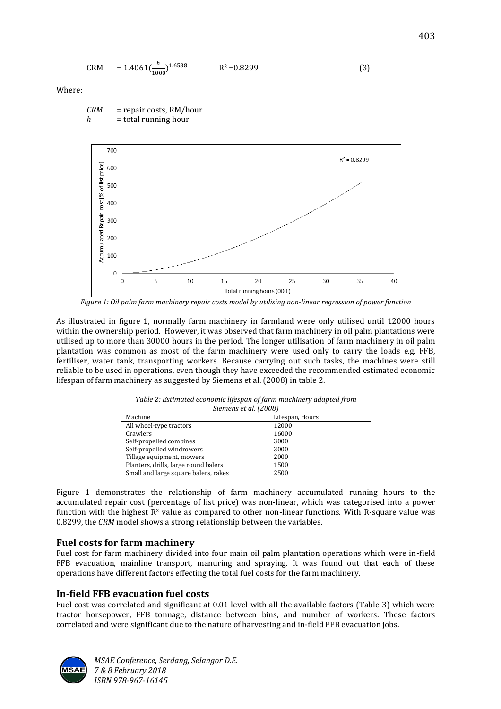$$
CRM = 1.4061 \left(\frac{h}{1000}\right)^{1.6588} \qquad R^2 = 0.8299 \tag{3}
$$

Where:



*CRM* = repair costs, RM/hour  $h$  = total running hour

*Figure 1: Oil palm farm machinery repair costs model by utilising non-linear regression of power function*

As illustrated in figure 1, normally farm machinery in farmland were only utilised until 12000 hours within the ownership period. However, it was observed that farm machinery in oil palm plantations were utilised up to more than 30000 hours in the period. The longer utilisation of farm machinery in oil palm plantation was common as most of the farm machinery were used only to carry the loads e.g. FFB, fertiliser, water tank, transporting workers. Because carrying out such tasks, the machines were still reliable to be used in operations, even though they have exceeded the recommended estimated economic lifespan of farm machinery as suggested by Siemens et al. (2008) in table 2.

| JICHICIIS CU UL TAUVUT               |                 |  |  |  |
|--------------------------------------|-----------------|--|--|--|
| Machine                              | Lifespan, Hours |  |  |  |
| All wheel-type tractors              | 12000           |  |  |  |
| Crawlers                             | 16000           |  |  |  |
| Self-propelled combines              | 3000            |  |  |  |
| Self-propelled windrowers            | 3000            |  |  |  |
| Tillage equipment, mowers            | 2000            |  |  |  |
| Planters, drills, large round balers | 1500            |  |  |  |
| Small and large square balers, rakes | 2500            |  |  |  |

*Table 2: Estimated economic lifespan of farm machinery adapted from Siemens et al. (2008)*

Figure 1 demonstrates the relationship of farm machinery accumulated running hours to the accumulated repair cost (percentage of list price) was non-linear, which was categorised into a power function with the highest  $R^2$  value as compared to other non-linear functions. With R-square value was 0.8299, the *CRM* model shows a strong relationship between the variables.

## **Fuel costs for farm machinery**

Fuel cost for farm machinery divided into four main oil palm plantation operations which were in-field FFB evacuation, mainline transport, manuring and spraying. It was found out that each of these operations have different factors effecting the total fuel costs for the farm machinery.

## **In-field FFB evacuation fuel costs**

Fuel cost was correlated and significant at 0.01 level with all the available factors (Table 3) which were tractor horsepower, FFB tonnage, distance between bins, and number of workers. These factors correlated and were significant due to the nature of harvesting and in-field FFB evacuation jobs.

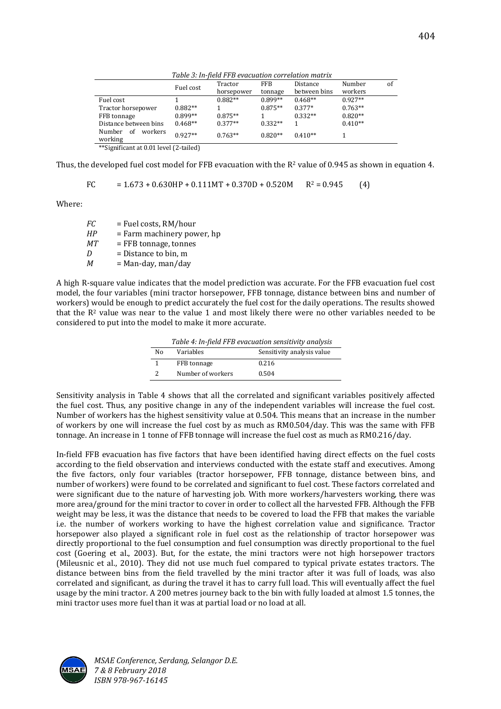|                                      | Fuel cost | Tractor    | <b>FFB</b> | Distance     | Number    | οf |
|--------------------------------------|-----------|------------|------------|--------------|-----------|----|
|                                      |           | horsepower | tonnage    | between bins | workers   |    |
| Fuel cost                            |           | $0.882**$  | $0.899**$  | $0.468**$    | $0.927**$ |    |
| Tractor horsepower                   | $0.882**$ |            | $0.875**$  | $0.377*$     | $0.763**$ |    |
| FFB tonnage                          | $0.899**$ | $0.875**$  |            | $0.332**$    | $0.820**$ |    |
| Distance between bins                | $0.468**$ | $0.377**$  | $0.332**$  |              | $0.410**$ |    |
| workers<br>Number<br>- of<br>working | $0.927**$ | $0.763**$  | $0.820**$  | $0.410**$    |           |    |
|                                      |           |            |            |              |           |    |

*Table 3: In-field FFB evacuation correlation matrix*

\*\*Significant at 0.01 level (2-tailed)

Thus, the developed fuel cost model for FFB evacuation with the  $R^2$  value of 0.945 as shown in equation 4.

FC =  $1.673 + 0.630$ HP +  $0.111$ MT +  $0.370$ D +  $0.520$ M R<sup>2</sup> = 0.945 (4)

Where:

*FC* = Fuel costs, RM/hour *HP* = Farm machinery power, hp *MT* = FFB tonnage, tonnes *D* = Distance to bin, m<br>*M* = Man-day, man/day *M* = Man-day, man/day

A high R-square value indicates that the model prediction was accurate. For the FFB evacuation fuel cost model, the four variables (mini tractor horsepower, FFB tonnage, distance between bins and number of workers) would be enough to predict accurately the fuel cost for the daily operations. The results showed that the R<sup>2</sup> value was near to the value 1 and most likely there were no other variables needed to be considered to put into the model to make it more accurate.

*Table 4: In-field FFB evacuation sensitivity analysis*

| No | Variables         | Sensitivity analysis value |
|----|-------------------|----------------------------|
|    | FFB tonnage       | 0.216                      |
|    | Number of workers | 0.504                      |

Sensitivity analysis in Table 4 shows that all the correlated and significant variables positively affected the fuel cost. Thus, any positive change in any of the independent variables will increase the fuel cost. Number of workers has the highest sensitivity value at 0.504. This means that an increase in the number of workers by one will increase the fuel cost by as much as RM0.504/day. This was the same with FFB tonnage. An increase in 1 tonne of FFB tonnage will increase the fuel cost as much as RM0.216/day.

In-field FFB evacuation has five factors that have been identified having direct effects on the fuel costs according to the field observation and interviews conducted with the estate staff and executives. Among the five factors, only four variables (tractor horsepower, FFB tonnage, distance between bins, and number of workers) were found to be correlated and significant to fuel cost. These factors correlated and were significant due to the nature of harvesting job. With more workers/harvesters working, there was more area/ground for the mini tractor to cover in order to collect all the harvested FFB. Although the FFB weight may be less, it was the distance that needs to be covered to load the FFB that makes the variable i.e. the number of workers working to have the highest correlation value and significance. Tractor horsepower also played a significant role in fuel cost as the relationship of tractor horsepower was directly proportional to the fuel consumption and fuel consumption was directly proportional to the fuel cost (Goering et al., 2003). But, for the estate, the mini tractors were not high horsepower tractors (Mileusnic et al., 2010). They did not use much fuel compared to typical private estates tractors. The distance between bins from the field travelled by the mini tractor after it was full of loads, was also correlated and significant, as during the travel it has to carry full load. This will eventually affect the fuel usage by the mini tractor. A 200 metres journey back to the bin with fully loaded at almost 1.5 tonnes, the mini tractor uses more fuel than it was at partial load or no load at all.

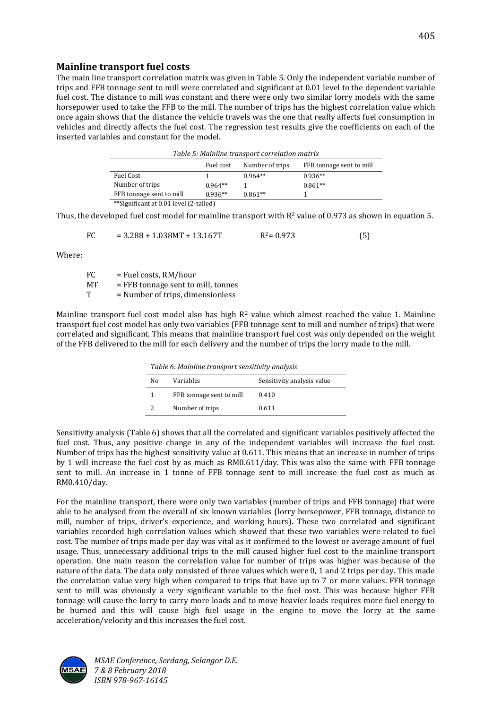## **Mainline transport fuel costs**

The main line transport correlation matrix was given in Table 5. Only the independent variable number of trips and FFB tonnage sent to mill were correlated and significant at 0.01 level to the dependent variable fuel cost. The distance to mill was constant and there were only two similar lorry models with the same horsepower used to take the FFB to the mill. The number of trips has the highest correlation value which once again shows that the distance the vehicle travels was the one that really affects fuel consumption in vehicles and directly affects the fuel cost. The regression test results give the coefficients on each of the inserted variables and constant for the model.

|                                        |           | Table 5: Mainline transport correlation matrix |                          |
|----------------------------------------|-----------|------------------------------------------------|--------------------------|
|                                        | Fuel cost | Number of trips                                | FFB tonnage sent to mill |
| Fuel Cost                              |           | $0.964**$                                      | $0.936**$                |
| Number of trips                        | $0.964**$ |                                                | $0.861**$                |
| FFB tonnage sent to mill               | $0.936**$ | $0.861**$                                      |                          |
| **Significant at 0.01 level (2-tailed) |           |                                                |                          |

Thus, the developed fuel cost model for mainline transport with  $R^2$  value of 0.973 as shown in equation 5.

$$
FC = 3.288 + 1.038MT + 13.167T \t\t R2 = 0.973 \t\t (5)
$$

Where:

| FC. | = Fuel costs, RM/hour              |
|-----|------------------------------------|
| MТ  | = FFB tonnage sent to mill, tonnes |
| т   | = Number of trips, dimensionless   |

Mainline transport fuel cost model also has high  $R<sup>2</sup>$  value which almost reached the value 1. Mainline transport fuel cost model has only two variables (FFB tonnage sent to mill and number of trips) that were correlated and significant. This means that mainline transport fuel cost was only depended on the weight of the FFB delivered to the mill for each delivery and the number of trips the lorry made to the mill.

|              |                 | Table 6: Mainline transport sensitivity analysis |
|--------------|-----------------|--------------------------------------------------|
| $\mathbf{X}$ | <b>TT . 1 1</b> | $\alpha$ and $\alpha$ and $\alpha$               |

| Nο | Variables                | Sensitivity analysis value |
|----|--------------------------|----------------------------|
|    | FFB tonnage sent to mill | 0.410                      |
|    | Number of trips          | 0.611                      |
|    |                          |                            |

Sensitivity analysis (Table 6) shows that all the correlated and significant variables positively affected the fuel cost. Thus, any positive change in any of the independent variables will increase the fuel cost. Number of trips has the highest sensitivity value at 0.611. This means that an increase in number of trips by 1 will increase the fuel cost by as much as RM0.611/day. This was also the same with FFB tonnage sent to mill. An increase in 1 tonne of FFB tonnage sent to mill increase the fuel cost as much as RM0.410/day.

For the mainline transport, there were only two variables (number of trips and FFB tonnage) that were able to be analysed from the overall of six known variables (lorry horsepower, FFB tonnage, distance to mill, number of trips, driver's experience, and working hours). These two correlated and significant variables recorded high correlation values which showed that these two variables were related to fuel cost. The number of trips made per day was vital as it confirmed to the lowest or average amount of fuel usage. Thus, unnecessary additional trips to the mill caused higher fuel cost to the mainline transport operation. One main reason the correlation value for number of trips was higher was because of the nature of the data. The data only consisted of three values which were 0, 1 and 2 trips per day. This made the correlation value very high when compared to trips that have up to 7 or more values. FFB tonnage sent to mill was obviously a very significant variable to the fuel cost. This was because higher FFB tonnage will cause the lorry to carry more loads and to move heavier loads requires more fuel energy to be burned and this will cause high fuel usage in the engine to move the lorry at the same acceleration/velocity and this increases the fuel cost.

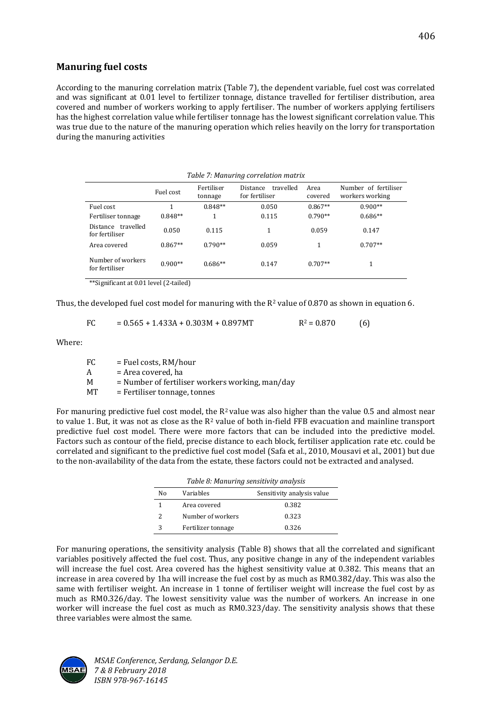# **Manuring fuel costs**

According to the manuring correlation matrix (Table 7), the dependent variable, fuel cost was correlated and was significant at 0.01 level to fertilizer tonnage, distance travelled for fertiliser distribution, area covered and number of workers working to apply fertiliser. The number of workers applying fertilisers has the highest correlation value while fertiliser tonnage has the lowest significant correlation value. This was true due to the nature of the manuring operation which relies heavily on the lorry for transportation during the manuring activities

|                                                | Table 7: Manuring correlation matrix                                                                                                               |           |       |           |           |  |
|------------------------------------------------|----------------------------------------------------------------------------------------------------------------------------------------------------|-----------|-------|-----------|-----------|--|
|                                                | Fertiliser<br>Number of fertiliser<br>travelled<br>Area<br><b>Distance</b><br>Fuel cost<br>for fertiliser<br>workers working<br>covered<br>tonnage |           |       |           |           |  |
| Fuel cost                                      |                                                                                                                                                    | $0.848**$ | 0.050 | $0.867**$ | $0.900**$ |  |
| Fertiliser tonnage                             | $0.848**$                                                                                                                                          | 1         | 0.115 | $0.790**$ | $0.686**$ |  |
| travelled<br><b>Distance</b><br>for fertiliser | 0.050                                                                                                                                              | 0.115     | 1     | 0.059     | 0.147     |  |
| Area covered                                   | $0.867**$                                                                                                                                          | $0.790**$ | 0.059 | 1         | $0.707**$ |  |
| Number of workers<br>for fertiliser            | $0.900**$                                                                                                                                          | $0.686**$ | 0.147 | $0.707**$ | 1         |  |

\*\*Significant at 0.01 level (2-tailed)

Thus, the developed fuel cost model for manuring with the  $R^2$  value of 0.870 as shown in equation 6.

$$
FC = 0.565 + 1.433A + 0.303M + 0.897MT \qquad R^2 = 0.870
$$
 (6)

Where:

 $FC = Fuel costs, RM/hour$  $A = Area covered, ha$  $M =$  Number of fertiliser workers working, man/day

MT = Fertiliser tonnage, tonnes

For manuring predictive fuel cost model, the  $R^2$  value was also higher than the value 0.5 and almost near to value 1. But, it was not as close as the  $R^2$  value of both in-field FFB evacuation and mainline transport predictive fuel cost model. There were more factors that can be included into the predictive model. Factors such as contour of the field, precise distance to each block, fertiliser application rate etc. could be correlated and significant to the predictive fuel cost model (Safa et al., 2010, Mousavi et al., 2001) but due to the non-availability of the data from the estate, these factors could not be extracted and analysed.

|    | Table 8: Manuring sensitivity analysis |                            |
|----|----------------------------------------|----------------------------|
| Nο | Variables                              | Sensitivity analysis value |
| 1  | Area covered                           | 0.382                      |
| 2  | Number of workers                      | 0.323                      |
| 3  | Fertilizer tonnage                     | 0.326                      |

For manuring operations, the sensitivity analysis (Table 8) shows that all the correlated and significant variables positively affected the fuel cost. Thus, any positive change in any of the independent variables will increase the fuel cost. Area covered has the highest sensitivity value at 0.382. This means that an increase in area covered by 1ha will increase the fuel cost by as much as RM0.382/day. This was also the same with fertiliser weight. An increase in 1 tonne of fertiliser weight will increase the fuel cost by as much as RM0.326/day. The lowest sensitivity value was the number of workers. An increase in one worker will increase the fuel cost as much as RM0.323/day. The sensitivity analysis shows that these three variables were almost the same.

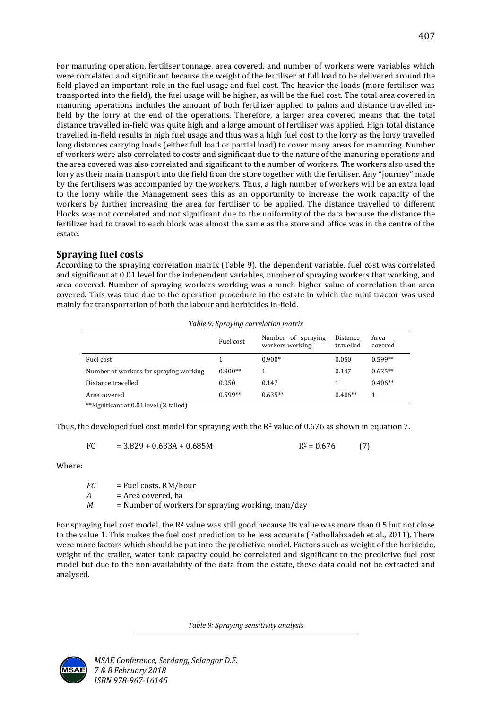For manuring operation, fertiliser tonnage, area covered, and number of workers were variables which were correlated and significant because the weight of the fertiliser at full load to be delivered around the field played an important role in the fuel usage and fuel cost. The heavier the loads (more fertiliser was transported into the field), the fuel usage will be higher, as will be the fuel cost. The total area covered in manuring operations includes the amount of both fertilizer applied to palms and distance travelled infield by the lorry at the end of the operations. Therefore, a larger area covered means that the total distance travelled in-field was quite high and a large amount of fertiliser was applied. High total distance travelled in-field results in high fuel usage and thus was a high fuel cost to the lorry as the lorry travelled long distances carrying loads (either full load or partial load) to cover many areas for manuring. Number of workers were also correlated to costs and significant due to the nature of the manuring operations and the area covered was also correlated and significant to the number of workers. The workers also used the lorry as their main transport into the field from the store together with the fertiliser. Any "journey" made by the fertilisers was accompanied by the workers. Thus, a high number of workers will be an extra load to the lorry while the Management sees this as an opportunity to increase the work capacity of the workers by further increasing the area for fertiliser to be applied. The distance travelled to different blocks was not correlated and not significant due to the uniformity of the data because the distance the fertilizer had to travel to each block was almost the same as the store and office was in the centre of the estate.

# **Spraying fuel costs**

According to the spraying correlation matrix (Table 9), the dependent variable, fuel cost was correlated and significant at 0.01 level for the independent variables, number of spraying workers that working, and area covered. Number of spraying workers working was a much higher value of correlation than area covered. This was true due to the operation procedure in the estate in which the mini tractor was used mainly for transportation of both the labour and herbicides in-field.

| Table 9: Spraying correlation matrix   |           |                                       |                       |                 |
|----------------------------------------|-----------|---------------------------------------|-----------------------|-----------------|
|                                        | Fuel cost | Number of spraying<br>workers working | Distance<br>travelled | Area<br>covered |
| Fuel cost                              |           | $0.900*$                              | 0.050                 | $0.599**$       |
| Number of workers for spraying working | $0.900**$ |                                       | 0.147                 | $0.635**$       |
| Distance travelled                     | 0.050     | 0.147                                 |                       | $0.406**$       |
| Area covered                           | $0.599**$ | $0.635**$                             | $0.406**$             | 1               |

\*\*Significant at 0.01 level (2-tailed)

Thus, the developed fuel cost model for spraying with the  $R^2$  value of 0.676 as shown in equation 7.

$$
FC = 3.829 + 0.633A + 0.685M \t\t R2 = 0.676 \t(7)
$$

Where:

| FC. | $=$ Fuel costs. RM/hour                             |
|-----|-----------------------------------------------------|
| A   | = Area covered, ha                                  |
| М   | $=$ Number of workers for spraying working, man/day |

For spraying fuel cost model, the  $R^2$  value was still good because its value was more than 0.5 but not close to the value 1. This makes the fuel cost prediction to be less accurate (Fathollahzadeh et al., 2011). There were more factors which should be put into the predictive model. Factors such as weight of the herbicide, weight of the trailer, water tank capacity could be correlated and significant to the predictive fuel cost model but due to the non-availability of the data from the estate, these data could not be extracted and analysed.

*Table 9: Spraying sensitivity analysis*

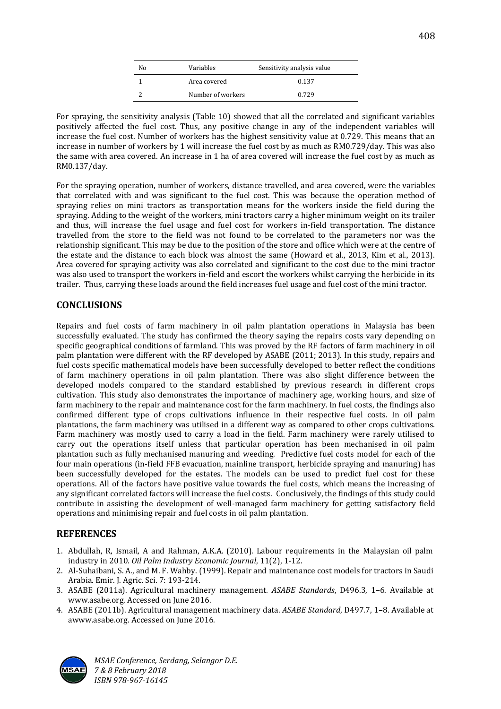| No | Variables         | Sensitivity analysis value |
|----|-------------------|----------------------------|
|    | Area covered      | 0.137                      |
|    | Number of workers | 0.729                      |

For spraying, the sensitivity analysis (Table 10) showed that all the correlated and significant variables positively affected the fuel cost. Thus, any positive change in any of the independent variables will increase the fuel cost. Number of workers has the highest sensitivity value at 0.729. This means that an increase in number of workers by 1 will increase the fuel cost by as much as RM0.729/day. This was also the same with area covered. An increase in 1 ha of area covered will increase the fuel cost by as much as RM0.137/day.

For the spraying operation, number of workers, distance travelled, and area covered, were the variables that correlated with and was significant to the fuel cost. This was because the operation method of spraying relies on mini tractors as transportation means for the workers inside the field during the spraying. Adding to the weight of the workers, mini tractors carry a higher minimum weight on its trailer and thus, will increase the fuel usage and fuel cost for workers in-field transportation. The distance travelled from the store to the field was not found to be correlated to the parameters nor was the relationship significant. This may be due to the position of the store and office which were at the centre of the estate and the distance to each block was almost the same (Howard et al., 2013, Kim et al., 2013). Area covered for spraying activity was also correlated and significant to the cost due to the mini tractor was also used to transport the workers in-field and escort the workers whilst carrying the herbicide in its trailer. Thus, carrying these loads around the field increases fuel usage and fuel cost of the mini tractor.

## **CONCLUSIONS**

Repairs and fuel costs of farm machinery in oil palm plantation operations in Malaysia has been successfully evaluated. The study has confirmed the theory saying the repairs costs vary depending on specific geographical conditions of farmland. This was proved by the RF factors of farm machinery in oil palm plantation were different with the RF developed by ASABE (2011; 2013). In this study, repairs and fuel costs specific mathematical models have been successfully developed to better reflect the conditions of farm machinery operations in oil palm plantation. There was also slight difference between the developed models compared to the standard established by previous research in different crops cultivation. This study also demonstrates the importance of machinery age, working hours, and size of farm machinery to the repair and maintenance cost for the farm machinery. In fuel costs, the findings also confirmed different type of crops cultivations influence in their respective fuel costs. In oil palm plantations, the farm machinery was utilised in a different way as compared to other crops cultivations. Farm machinery was mostly used to carry a load in the field. Farm machinery were rarely utilised to carry out the operations itself unless that particular operation has been mechanised in oil palm plantation such as fully mechanised manuring and weeding. Predictive fuel costs model for each of the four main operations (in-field FFB evacuation, mainline transport, herbicide spraying and manuring) has been successfully developed for the estates. The models can be used to predict fuel cost for these operations. All of the factors have positive value towards the fuel costs, which means the increasing of any significant correlated factors will increase the fuel costs. Conclusively, the findings of this study could contribute in assisting the development of well-managed farm machinery for getting satisfactory field operations and minimising repair and fuel costs in oil palm plantation.

## **REFERENCES**

- 1. Abdullah, R, Ismail, A and Rahman, A.K.A. (2010). Labour requirements in the Malaysian oil palm industry in 2010. *Oil Palm Industry Economic Journal*, 11(2), 1-12.
- 2. Al-Suhaibani, S. A., and M. F. Wahby. (1999). Repair and maintenance cost models for tractors in Saudi Arabia. Emir. J. Agric. Sci. 7: 193-214.
- 3. ASABE (2011a). Agricultural machinery management. *ASABE Standards*, D496.3, 1–6. Available at www.asabe.org. Accessed on June 2016.
- 4. ASABE (2011b). Agricultural management machinery data. *ASABE Standard*, D497.7, 1–8. Available at awww.asabe.org. Accessed on June 2016.